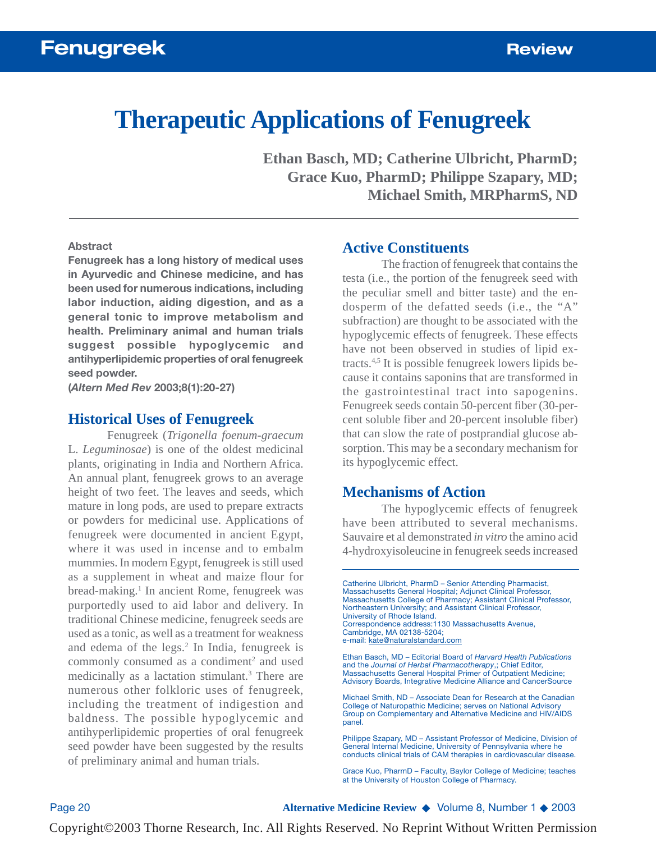# **Therapeutic Applications of Fenugreek**

**Ethan Basch, MD; Catherine Ulbricht, PharmD; Grace Kuo, PharmD; Philippe Szapary, MD; Michael Smith, MRPharmS, ND**

#### **Abstract**

**Fenugreek has a long history of medical uses in Ayurvedic and Chinese medicine, and has been used for numerous indications, including labor induction, aiding digestion, and as a general tonic to improve metabolism and health. Preliminary animal and human trials suggest possible hypoglycemic and antihyperlipidemic properties of oral fenugreek seed powder.**

**(***Altern Med Rev* **2003;8(1):20-27)**

#### **Historical Uses of Fenugreek**

Fenugreek (*Trigonella foenum-graecum* L. *Leguminosae*) is one of the oldest medicinal plants, originating in India and Northern Africa. An annual plant, fenugreek grows to an average height of two feet. The leaves and seeds, which mature in long pods, are used to prepare extracts or powders for medicinal use. Applications of fenugreek were documented in ancient Egypt, where it was used in incense and to embalm mummies. In modern Egypt, fenugreek is still used as a supplement in wheat and maize flour for bread-making.<sup>1</sup> In ancient Rome, fenugreek was purportedly used to aid labor and delivery. In traditional Chinese medicine, fenugreek seeds are used as a tonic, as well as a treatment for weakness and edema of the legs.<sup>2</sup> In India, fenugreek is commonly consumed as a condiment<sup>2</sup> and used medicinally as a lactation stimulant.<sup>3</sup> There are numerous other folkloric uses of fenugreek, including the treatment of indigestion and baldness. The possible hypoglycemic and antihyperlipidemic properties of oral fenugreek seed powder have been suggested by the results of preliminary animal and human trials.

#### **Active Constituents**

The fraction of fenugreek that contains the testa (i.e., the portion of the fenugreek seed with the peculiar smell and bitter taste) and the endosperm of the defatted seeds (i.e., the "A" subfraction) are thought to be associated with the hypoglycemic effects of fenugreek. These effects have not been observed in studies of lipid extracts.4,5 It is possible fenugreek lowers lipids because it contains saponins that are transformed in the gastrointestinal tract into sapogenins. Fenugreek seeds contain 50-percent fiber (30-percent soluble fiber and 20-percent insoluble fiber) that can slow the rate of postprandial glucose absorption. This may be a secondary mechanism for its hypoglycemic effect.

#### **Mechanisms of Action**

The hypoglycemic effects of fenugreek have been attributed to several mechanisms. Sauvaire et al demonstrated *in vitro* the amino acid 4-hydroxyisoleucine in fenugreek seeds increased

Ethan Basch, MD – Editorial Board of *Harvard Health Publications* and the *Journal of Herbal Pharmacotherapy*,; Chief Editor, Massachusetts General Hospital Primer of Outpatient Medicine; Advisory Boards, Integrative Medicine Alliance and CancerSource

Michael Smith, ND – Associate Dean for Research at the Canadian College of Naturopathic Medicine; serves on National Advisory Group on Complementary and Alternative Medicine and HIV/AIDS panel.

Page 20 **Alternative Medicine Review** ◆ Volume 8, Number 1 ◆ 2003

Catherine Ulbricht, PharmD – Senior Attending Pharmacist, Massachusetts General Hospital; Adjunct Clinical Professor, Massachusetts College of Pharmacy; Assistant Clinical Professor, Northeastern University; and Assistant Clinical Professor, University of Rhode Island. Correspondence address:1130 Massachusetts Avenue, Cambridge, MA 02138-5204; e-mail: kate@naturalstandard.com

Philippe Szapary, MD – Assistant Professor of Medicine, Division of General Internal Medicine, University of Pennsylvania where he conducts clinical trials of CAM therapies in cardiovascular disease.

Grace Kuo, PharmD – Faculty, Baylor College of Medicine; teaches at the University of Houston College of Pharmacy.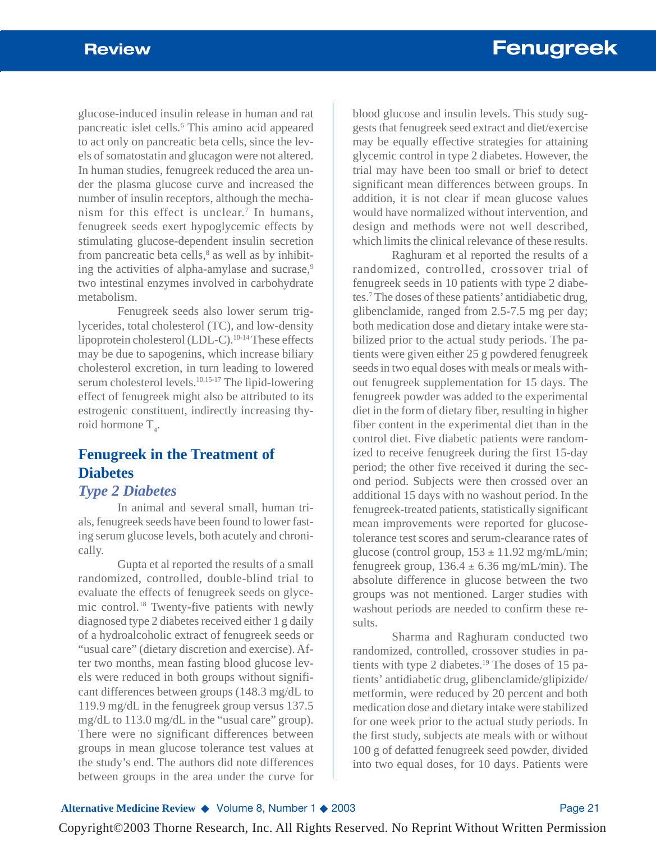glucose-induced insulin release in human and rat pancreatic islet cells.6 This amino acid appeared to act only on pancreatic beta cells, since the levels of somatostatin and glucagon were not altered. In human studies, fenugreek reduced the area under the plasma glucose curve and increased the number of insulin receptors, although the mechanism for this effect is unclear.<sup>7</sup> In humans, fenugreek seeds exert hypoglycemic effects by stimulating glucose-dependent insulin secretion from pancreatic beta cells, $\delta$  as well as by inhibiting the activities of alpha-amylase and sucrase,<sup>9</sup> two intestinal enzymes involved in carbohydrate metabolism.

Fenugreek seeds also lower serum triglycerides, total cholesterol (TC), and low-density lipoprotein cholesterol (LDL-C).10-14 These effects may be due to sapogenins, which increase biliary cholesterol excretion, in turn leading to lowered serum cholesterol levels.10,15-17 The lipid-lowering effect of fenugreek might also be attributed to its estrogenic constituent, indirectly increasing thyroid hormone  $T_4$ .

# **Fenugreek in the Treatment of Diabetes**

# *Type 2 Diabetes*

In animal and several small, human trials, fenugreek seeds have been found to lower fasting serum glucose levels, both acutely and chronically.

Gupta et al reported the results of a small randomized, controlled, double-blind trial to evaluate the effects of fenugreek seeds on glycemic control.18 Twenty-five patients with newly diagnosed type 2 diabetes received either 1 g daily of a hydroalcoholic extract of fenugreek seeds or "usual care" (dietary discretion and exercise). After two months, mean fasting blood glucose levels were reduced in both groups without significant differences between groups (148.3 mg/dL to 119.9 mg/dL in the fenugreek group versus 137.5 mg/dL to 113.0 mg/dL in the "usual care" group). There were no significant differences between groups in mean glucose tolerance test values at the study's end. The authors did note differences between groups in the area under the curve for

blood glucose and insulin levels. This study suggests that fenugreek seed extract and diet/exercise may be equally effective strategies for attaining glycemic control in type 2 diabetes. However, the trial may have been too small or brief to detect significant mean differences between groups. In addition, it is not clear if mean glucose values would have normalized without intervention, and design and methods were not well described, which limits the clinical relevance of these results.

Raghuram et al reported the results of a randomized, controlled, crossover trial of fenugreek seeds in 10 patients with type 2 diabetes.7 The doses of these patients' antidiabetic drug, glibenclamide, ranged from 2.5-7.5 mg per day; both medication dose and dietary intake were stabilized prior to the actual study periods. The patients were given either 25 g powdered fenugreek seeds in two equal doses with meals or meals without fenugreek supplementation for 15 days. The fenugreek powder was added to the experimental diet in the form of dietary fiber, resulting in higher fiber content in the experimental diet than in the control diet. Five diabetic patients were randomized to receive fenugreek during the first 15-day period; the other five received it during the second period. Subjects were then crossed over an additional 15 days with no washout period. In the fenugreek-treated patients, statistically significant mean improvements were reported for glucosetolerance test scores and serum-clearance rates of glucose (control group,  $153 \pm 11.92$  mg/mL/min; fenugreek group,  $136.4 \pm 6.36$  mg/mL/min). The absolute difference in glucose between the two groups was not mentioned. Larger studies with washout periods are needed to confirm these results.

Sharma and Raghuram conducted two randomized, controlled, crossover studies in patients with type 2 diabetes.<sup>19</sup> The doses of 15 patients' antidiabetic drug, glibenclamide/glipizide/ metformin, were reduced by 20 percent and both medication dose and dietary intake were stabilized for one week prior to the actual study periods. In the first study, subjects ate meals with or without 100 g of defatted fenugreek seed powder, divided into two equal doses, for 10 days. Patients were

**Alternative Medicine Review ◆ Volume 8, Number 1 ◆ 2003** Page 21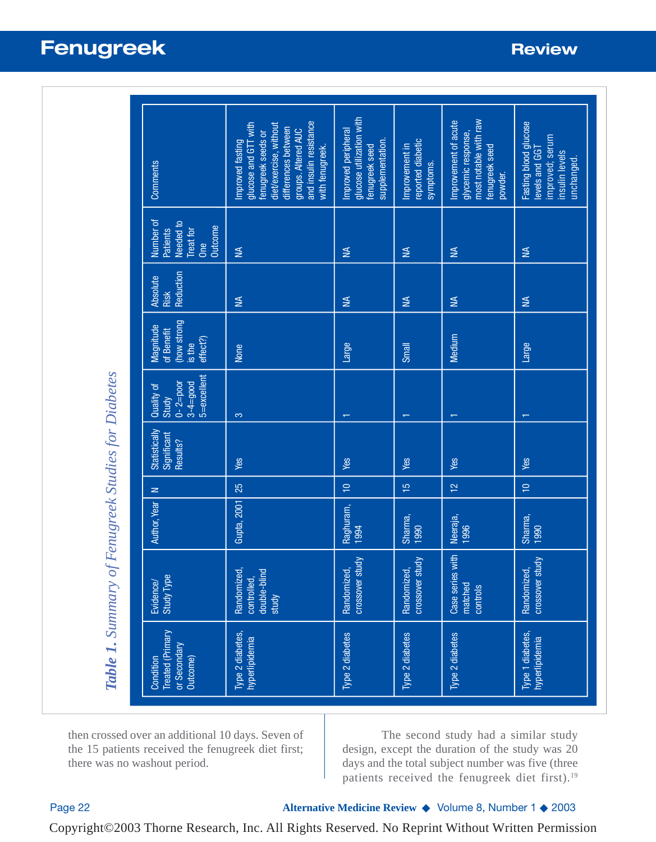| Comments                                                                        | and insulin resistance<br>glucose and GTT with<br>diet/exercise, without<br>differences between<br>groups. Altered AUC<br>fenugreek seeds or<br>Improved fasting<br>with fenugreek. | glucose utilization with<br>Improved peripheral<br>supplementation.<br>fenugreek seed | reported diabetic<br>Improvement in<br>symptoms. | most notable with raw<br>Improvement of acute<br>glycemic response,<br>fenugreek seed<br>powder. | Fasting blood glucose<br>improved; serum<br>levels and GGT<br>insulin levels<br>unchanged |
|---------------------------------------------------------------------------------|-------------------------------------------------------------------------------------------------------------------------------------------------------------------------------------|---------------------------------------------------------------------------------------|--------------------------------------------------|--------------------------------------------------------------------------------------------------|-------------------------------------------------------------------------------------------|
| Number of<br>Needed to<br><b>Outcome</b><br><b>Patients</b><br>Treat for<br>One | $\leq$                                                                                                                                                                              | ₹                                                                                     | $\leq$                                           | ₹                                                                                                | $\leq$                                                                                    |
| Reduction<br><b>Absolute</b><br>Risk                                            | $\leq$                                                                                                                                                                              | ₹                                                                                     | $\leq$                                           | ₹                                                                                                | ₹                                                                                         |
| (how strong<br>Magnitude<br>of Benefit<br>effect?)<br>is the                    | None                                                                                                                                                                                | Large                                                                                 | Small                                            | Medium                                                                                           | Large                                                                                     |
| 5=excellent<br>$0 - 2 = 100$<br>$3 - 4 = 9000$<br>Quality of<br><b>Study</b>    | 3                                                                                                                                                                                   | $\top$                                                                                | $\overline{\phantom{0}}$                         | $\overline{\phantom{0}}$                                                                         | $\overline{\mathbf{v}}$                                                                   |
| Statistically<br>Significant<br>Results?                                        | Yes                                                                                                                                                                                 | Yes                                                                                   | Yes                                              | Yes                                                                                              | Yes                                                                                       |
| $\geq$                                                                          | 25                                                                                                                                                                                  | $\supseteq$                                                                           | $\frac{5}{1}$                                    | $\frac{1}{2}$                                                                                    | $\overline{a}$                                                                            |
| Author, Year                                                                    | Gupta, 2001                                                                                                                                                                         | Raghuram,<br>1994                                                                     | Sharma,<br>1990                                  | Neeraja,<br>1996                                                                                 | Sharma,<br>1990                                                                           |
| <b>Study Type</b><br>Evidence/                                                  | Randomized,<br>controlled,<br>double-blind<br>study                                                                                                                                 | crossover study<br>Randomized,                                                        | Randomized,<br>crossover study                   | Case series with<br>matched<br>controls                                                          | Randomized,<br>crossover study                                                            |
| <b>Treated</b> (Primary<br>or Secondary<br>Condition<br>Outcome)                | Type 2 diabetes,<br>hyperlipidemia                                                                                                                                                  | Type 2 diabetes                                                                       | Type 2 diabetes                                  | Type 2 diabetes                                                                                  | Type 1 diabetes,<br>hyperlipidemia                                                        |

then crossed over an additional 10 days. Seven of the 15 patients received the fenugreek diet first; there was no washout period.

The second study had a similar study design, except the duration of the study was 20 days and the total subject number was five (three patients received the fenugreek diet first).<sup>19</sup>

*Table 1. Summary of Fenugreek Studies for Diabetes*

Table 1. Summary of Fenugreek Studies for Diabetes

Page 22 **Alternative Medicine Review** ◆ Volume 8, Number 1 ◆ 2003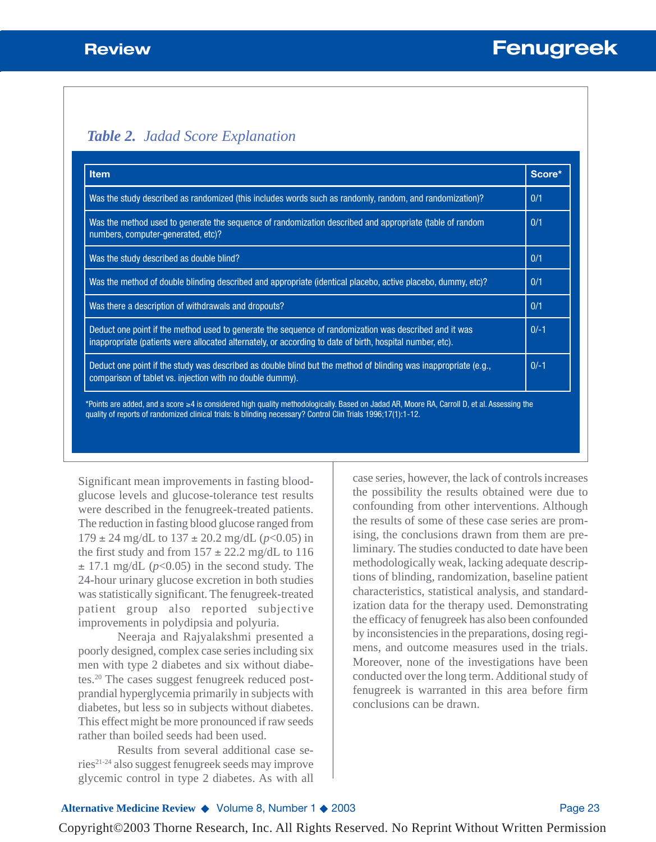# *Table 2. Jadad Score Explanation*

| <b>Item</b>                                                                                                                                                                                                         | Score* |  |
|---------------------------------------------------------------------------------------------------------------------------------------------------------------------------------------------------------------------|--------|--|
| Was the study described as randomized (this includes words such as randomly, random, and randomization)?                                                                                                            |        |  |
| Was the method used to generate the sequence of randomization described and appropriate (table of random<br>numbers, computer-generated, etc)?                                                                      |        |  |
| Was the study described as double blind?                                                                                                                                                                            | 0/1    |  |
| Was the method of double blinding described and appropriate (identical placebo, active placebo, dummy, etc)?                                                                                                        |        |  |
| Was there a description of withdrawals and dropouts?                                                                                                                                                                |        |  |
| Deduct one point if the method used to generate the sequence of randomization was described and it was<br>inappropriate (patients were allocated alternately, or according to date of birth, hospital number, etc). |        |  |
| Deduct one point if the study was described as double blind but the method of blinding was inappropriate (e.g.,<br>comparison of tablet vs. injection with no double dummy).                                        |        |  |

Significant mean improvements in fasting bloodglucose levels and glucose-tolerance test results were described in the fenugreek-treated patients. The reduction in fasting blood glucose ranged from  $179 \pm 24$  mg/dL to  $137 \pm 20.2$  mg/dL ( $p < 0.05$ ) in the first study and from  $157 \pm 22.2$  mg/dL to 116  $\pm$  17.1 mg/dL ( $p$ <0.05) in the second study. The 24-hour urinary glucose excretion in both studies was statistically significant. The fenugreek-treated patient group also reported subjective improvements in polydipsia and polyuria.

Neeraja and Rajyalakshmi presented a poorly designed, complex case series including six men with type 2 diabetes and six without diabetes.20 The cases suggest fenugreek reduced postprandial hyperglycemia primarily in subjects with diabetes, but less so in subjects without diabetes. This effect might be more pronounced if raw seeds rather than boiled seeds had been used.

Results from several additional case series21-24 also suggest fenugreek seeds may improve glycemic control in type 2 diabetes. As with all case series, however, the lack of controls increases the possibility the results obtained were due to confounding from other interventions. Although the results of some of these case series are promising, the conclusions drawn from them are preliminary. The studies conducted to date have been methodologically weak, lacking adequate descriptions of blinding, randomization, baseline patient characteristics, statistical analysis, and standardization data for the therapy used. Demonstrating the efficacy of fenugreek has also been confounded by inconsistencies in the preparations, dosing regimens, and outcome measures used in the trials. Moreover, none of the investigations have been conducted over the long term. Additional study of fenugreek is warranted in this area before firm conclusions can be drawn.

# **Alternative Medicine Review** ◆ Volume 8, Number 1 ◆ 2003 Page 23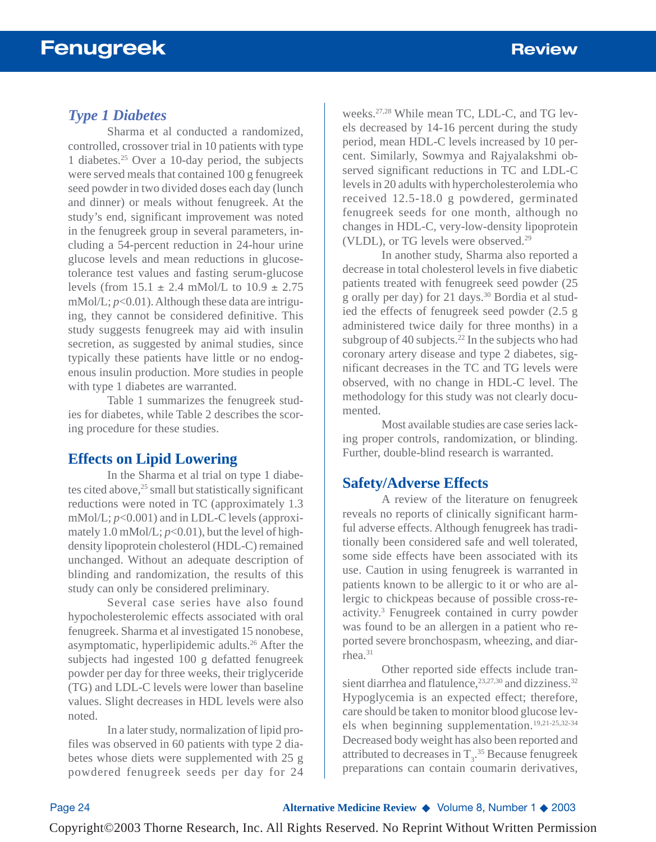# *Type 1 Diabetes*

Sharma et al conducted a randomized, controlled, crossover trial in 10 patients with type 1 diabetes.25 Over a 10-day period, the subjects were served meals that contained 100 g fenugreek seed powder in two divided doses each day (lunch and dinner) or meals without fenugreek. At the study's end, significant improvement was noted in the fenugreek group in several parameters, including a 54-percent reduction in 24-hour urine glucose levels and mean reductions in glucosetolerance test values and fasting serum-glucose levels (from  $15.1 \pm 2.4$  mMol/L to  $10.9 \pm 2.75$ mMol/L; *p*<0.01). Although these data are intriguing, they cannot be considered definitive. This study suggests fenugreek may aid with insulin secretion, as suggested by animal studies, since typically these patients have little or no endogenous insulin production. More studies in people with type 1 diabetes are warranted.

Table 1 summarizes the fenugreek studies for diabetes, while Table 2 describes the scoring procedure for these studies.

# **Effects on Lipid Lowering**

In the Sharma et al trial on type 1 diabetes cited above, $25$  small but statistically significant reductions were noted in TC (approximately 1.3 mMol/L; *p*<0.001) and in LDL-C levels (approximately 1.0 mMol/L;  $p<0.01$ ), but the level of highdensity lipoprotein cholesterol (HDL-C) remained unchanged. Without an adequate description of blinding and randomization, the results of this study can only be considered preliminary.

Several case series have also found hypocholesterolemic effects associated with oral fenugreek. Sharma et al investigated 15 nonobese, asymptomatic, hyperlipidemic adults.26 After the subjects had ingested 100 g defatted fenugreek powder per day for three weeks, their triglyceride (TG) and LDL-C levels were lower than baseline values. Slight decreases in HDL levels were also noted.

In a later study, normalization of lipid profiles was observed in 60 patients with type 2 diabetes whose diets were supplemented with 25 g powdered fenugreek seeds per day for 24

weeks.27,28 While mean TC, LDL-C, and TG levels decreased by 14-16 percent during the study period, mean HDL-C levels increased by 10 percent. Similarly, Sowmya and Rajyalakshmi observed significant reductions in TC and LDL-C levels in 20 adults with hypercholesterolemia who received 12.5-18.0 g powdered, germinated fenugreek seeds for one month, although no changes in HDL-C, very-low-density lipoprotein (VLDL), or TG levels were observed.<sup>29</sup>

In another study, Sharma also reported a decrease in total cholesterol levels in five diabetic patients treated with fenugreek seed powder (25 g orally per day) for 21 days.30 Bordia et al studied the effects of fenugreek seed powder (2.5 g administered twice daily for three months) in a subgroup of 40 subjects.<sup>22</sup> In the subjects who had coronary artery disease and type 2 diabetes, significant decreases in the TC and TG levels were observed, with no change in HDL-C level. The methodology for this study was not clearly documented.

Most available studies are case series lacking proper controls, randomization, or blinding. Further, double-blind research is warranted.

### **Safety/Adverse Effects**

A review of the literature on fenugreek reveals no reports of clinically significant harmful adverse effects. Although fenugreek has traditionally been considered safe and well tolerated, some side effects have been associated with its use. Caution in using fenugreek is warranted in patients known to be allergic to it or who are allergic to chickpeas because of possible cross-reactivity.3 Fenugreek contained in curry powder was found to be an allergen in a patient who reported severe bronchospasm, wheezing, and diarrhea.31

Other reported side effects include transient diarrhea and flatulence,<sup>23,27,30</sup> and dizziness.<sup>32</sup> Hypoglycemia is an expected effect; therefore, care should be taken to monitor blood glucose levels when beginning supplementation.19,21-25,32-34 Decreased body weight has also been reported and attributed to decreases in  $T_3$ .<sup>35</sup> Because fenugreek preparations can contain coumarin derivatives,

Page 24 **Alternative Medicine Review** ◆ Volume 8, Number 1 ◆ 2003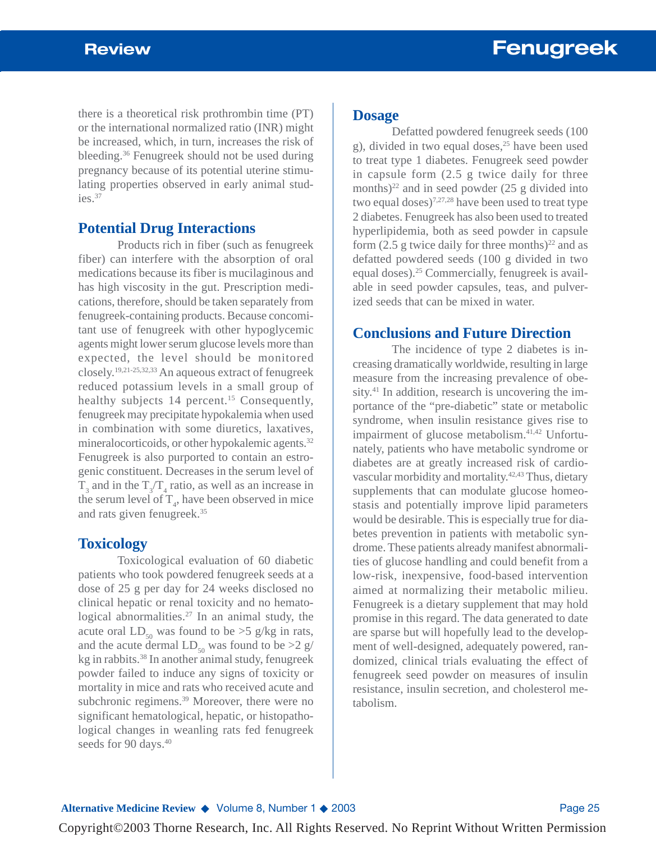there is a theoretical risk prothrombin time (PT) or the international normalized ratio (INR) might be increased, which, in turn, increases the risk of bleeding.36 Fenugreek should not be used during pregnancy because of its potential uterine stimulating properties observed in early animal studies.37

## **Potential Drug Interactions**

Products rich in fiber (such as fenugreek fiber) can interfere with the absorption of oral medications because its fiber is mucilaginous and has high viscosity in the gut. Prescription medications, therefore, should be taken separately from fenugreek-containing products. Because concomitant use of fenugreek with other hypoglycemic agents might lower serum glucose levels more than expected, the level should be monitored closely.19,21-25,32,33 An aqueous extract of fenugreek reduced potassium levels in a small group of healthy subjects 14 percent.<sup>15</sup> Consequently, fenugreek may precipitate hypokalemia when used in combination with some diuretics, laxatives, mineralocorticoids, or other hypokalemic agents.<sup>32</sup> Fenugreek is also purported to contain an estrogenic constituent. Decreases in the serum level of  $T_3$  and in the  $T_3/T_4$  ratio, as well as an increase in the serum level of  $T_{4}$ , have been observed in mice and rats given fenugreek.35

### **Toxicology**

Toxicological evaluation of 60 diabetic patients who took powdered fenugreek seeds at a dose of 25 g per day for 24 weeks disclosed no clinical hepatic or renal toxicity and no hematological abnormalities.<sup>27</sup> In an animal study, the acute oral  $LD_{50}$  was found to be >5 g/kg in rats, and the acute dermal  $LD_{50}$  was found to be  $>2$  g/ kg in rabbits.38 In another animal study, fenugreek powder failed to induce any signs of toxicity or mortality in mice and rats who received acute and subchronic regimens.<sup>39</sup> Moreover, there were no significant hematological, hepatic, or histopathological changes in weanling rats fed fenugreek seeds for 90 days.<sup>40</sup>

#### **Dosage**

Defatted powdered fenugreek seeds (100 g), divided in two equal doses, $25$  have been used to treat type 1 diabetes. Fenugreek seed powder in capsule form (2.5 g twice daily for three months) $^{22}$  and in seed powder (25 g divided into two equal doses)<sup>7,27,28</sup> have been used to treat type 2 diabetes. Fenugreek has also been used to treated hyperlipidemia, both as seed powder in capsule form  $(2.5$  g twice daily for three months)<sup>22</sup> and as defatted powdered seeds (100 g divided in two equal doses).25 Commercially, fenugreek is available in seed powder capsules, teas, and pulverized seeds that can be mixed in water.

# **Conclusions and Future Direction**

The incidence of type 2 diabetes is increasing dramatically worldwide, resulting in large measure from the increasing prevalence of obesity.<sup>41</sup> In addition, research is uncovering the importance of the "pre-diabetic" state or metabolic syndrome, when insulin resistance gives rise to impairment of glucose metabolism.<sup>41,42</sup> Unfortunately, patients who have metabolic syndrome or diabetes are at greatly increased risk of cardiovascular morbidity and mortality.42,43 Thus, dietary supplements that can modulate glucose homeostasis and potentially improve lipid parameters would be desirable. This is especially true for diabetes prevention in patients with metabolic syndrome. These patients already manifest abnormalities of glucose handling and could benefit from a low-risk, inexpensive, food-based intervention aimed at normalizing their metabolic milieu. Fenugreek is a dietary supplement that may hold promise in this regard. The data generated to date are sparse but will hopefully lead to the development of well-designed, adequately powered, randomized, clinical trials evaluating the effect of fenugreek seed powder on measures of insulin resistance, insulin secretion, and cholesterol metabolism.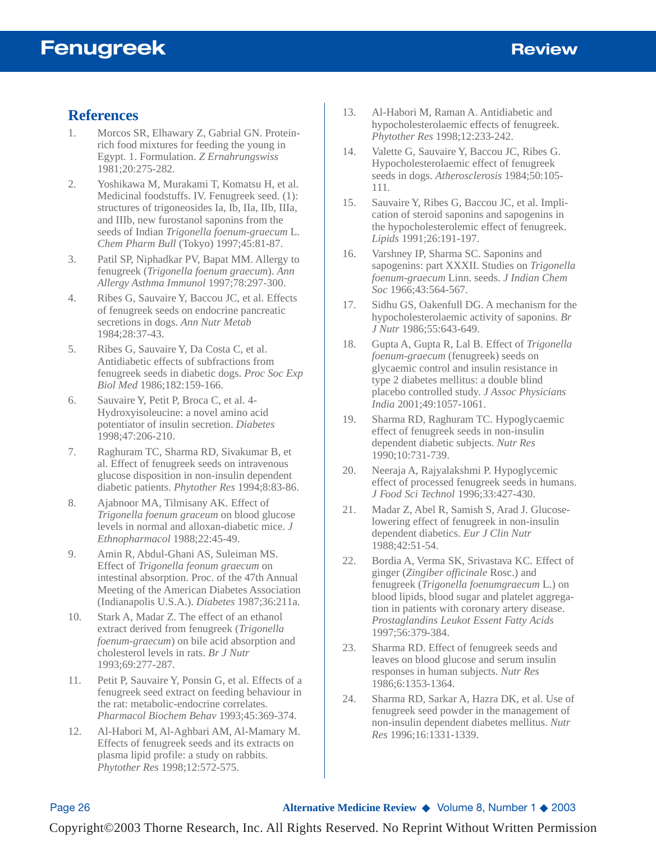# **References**

- 1. Morcos SR, Elhawary Z, Gabrial GN. Proteinrich food mixtures for feeding the young in Egypt. 1. Formulation. *Z Ernahrungswiss* 1981;20:275-282.
- 2. Yoshikawa M, Murakami T, Komatsu H, et al. Medicinal foodstuffs. IV. Fenugreek seed. (1): structures of trigoneosides Ia, Ib, IIa, IIb, IIIa, and IIIb, new furostanol saponins from the seeds of Indian *Trigonella foenum-graecum* L. *Chem Pharm Bull* (Tokyo) 1997;45:81-87.
- 3. Patil SP, Niphadkar PV, Bapat MM. Allergy to fenugreek (*Trigonella foenum graecum*). *Ann Allergy Asthma Immunol* 1997;78:297-300.
- 4. Ribes G, Sauvaire Y, Baccou JC, et al. Effects of fenugreek seeds on endocrine pancreatic secretions in dogs. *Ann Nutr Metab* 1984;28:37-43.
- 5. Ribes G, Sauvaire Y, Da Costa C, et al. Antidiabetic effects of subfractions from fenugreek seeds in diabetic dogs. *Proc Soc Exp Biol Med* 1986;182:159-166.
- 6. Sauvaire Y, Petit P, Broca C, et al. 4- Hydroxyisoleucine: a novel amino acid potentiator of insulin secretion. *Diabetes* 1998;47:206-210.
- 7. Raghuram TC, Sharma RD, Sivakumar B, et al. Effect of fenugreek seeds on intravenous glucose disposition in non-insulin dependent diabetic patients. *Phytother Res* 1994;8:83-86.
- 8. Ajabnoor MA, Tilmisany AK. Effect of *Trigonella foenum graceum* on blood glucose levels in normal and alloxan-diabetic mice. *J Ethnopharmacol* 1988;22:45-49.
- 9. Amin R, Abdul-Ghani AS, Suleiman MS. Effect of *Trigonella feonum graecum* on intestinal absorption. Proc. of the 47th Annual Meeting of the American Diabetes Association (Indianapolis U.S.A.). *Diabetes* 1987;36:211a.
- 10. Stark A, Madar Z. The effect of an ethanol extract derived from fenugreek (*Trigonella foenum-graecum*) on bile acid absorption and cholesterol levels in rats. *Br J Nutr* 1993;69:277-287.
- 11. Petit P, Sauvaire Y, Ponsin G, et al. Effects of a fenugreek seed extract on feeding behaviour in the rat: metabolic-endocrine correlates. *Pharmacol Biochem Behav* 1993;45:369-374.
- 12. Al-Habori M, Al-Aghbari AM, Al-Mamary M. Effects of fenugreek seeds and its extracts on plasma lipid profile: a study on rabbits. *Phytother Res* 1998;12:572-575.
- 13. Al-Habori M, Raman A. Antidiabetic and hypocholesterolaemic effects of fenugreek. *Phytother Res* 1998;12:233-242.
- 14. Valette G, Sauvaire Y, Baccou JC, Ribes G. Hypocholesterolaemic effect of fenugreek seeds in dogs. *Atherosclerosis* 1984;50:105- 111.
- 15. Sauvaire Y, Ribes G, Baccou JC, et al. Implication of steroid saponins and sapogenins in the hypocholesterolemic effect of fenugreek. *Lipids* 1991;26:191-197.
- 16. Varshney IP, Sharma SC. Saponins and sapogenins: part XXXII. Studies on *Trigonella foenum-graecum* Linn. seeds. *J Indian Chem Soc* 1966;43:564-567.
- 17. Sidhu GS, Oakenfull DG. A mechanism for the hypocholesterolaemic activity of saponins. *Br J Nutr* 1986;55:643-649.
- 18. Gupta A, Gupta R, Lal B. Effect of *Trigonella foenum-graecum* (fenugreek) seeds on glycaemic control and insulin resistance in type 2 diabetes mellitus: a double blind placebo controlled study. *J Assoc Physicians India* 2001;49:1057-1061.
- 19. Sharma RD, Raghuram TC. Hypoglycaemic effect of fenugreek seeds in non-insulin dependent diabetic subjects. *Nutr Res* 1990;10:731-739.
- 20. Neeraja A, Rajyalakshmi P. Hypoglycemic effect of processed fenugreek seeds in humans. *J Food Sci Technol* 1996;33:427-430.
- 21. Madar Z, Abel R, Samish S, Arad J. Glucoselowering effect of fenugreek in non-insulin dependent diabetics. *Eur J Clin Nutr* 1988;42:51-54.
- 22. Bordia A, Verma SK, Srivastava KC. Effect of ginger (*Zingiber officinale* Rosc.) and fenugreek (*Trigonella foenumgraecum* L.) on blood lipids, blood sugar and platelet aggregation in patients with coronary artery disease. *Prostaglandins Leukot Essent Fatty Acids* 1997;56:379-384.
- 23. Sharma RD. Effect of fenugreek seeds and leaves on blood glucose and serum insulin responses in human subjects. *Nutr Res* 1986;6:1353-1364.
- 24. Sharma RD, Sarkar A, Hazra DK, et al. Use of fenugreek seed powder in the management of non-insulin dependent diabetes mellitus. *Nutr Res* 1996;16:1331-1339.